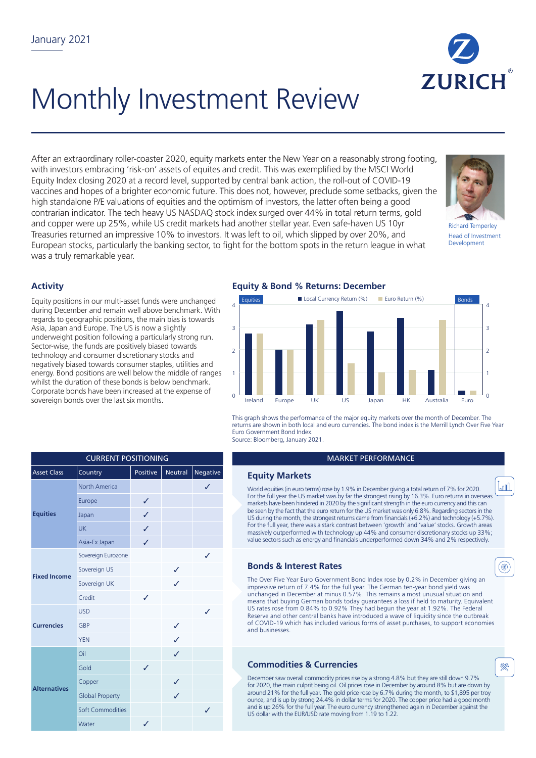

# Monthly Investment Review

After an extraordinary roller-coaster 2020, equity markets enter the New Year on a reasonably strong footing, with investors embracing 'risk-on' assets of equites and credit. This was exemplified by the MSCI World Equity Index closing 2020 at a record level, supported by central bank action, the roll-out of COVID-19 vaccines and hopes of a brighter economic future. This does not, however, preclude some setbacks, given the high standalone P/E valuations of equities and the optimism of investors, the latter often being a good contrarian indicator. The tech heavy US NASDAQ stock index surged over 44% in total return terms, gold and copper were up 25%, while US credit markets had another stellar year. Even safe-haven US 10yr Treasuries returned an impressive 10% to investors. It was left to oil, which slipped by over 20%, and European stocks, particularly the banking sector, to fight for the bottom spots in the return league in what was a truly remarkable year.



Richard Temperley Head of Investment Development

T<sub>an</sub>n

◉

**RR** 

## **Activity**

Equity positions in our multi-asset funds were unchanged during December and remain well above benchmark. With regards to geographic positions, the main bias is towards Asia, Japan and Europe. The US is now a slightly underweight position following a particularly strong run. Sector-wise, the funds are positively biased towards technology and consumer discretionary stocks and negatively biased towards consumer staples, utilities and energy. Bond positions are well below the middle of ranges whilst the duration of these bonds is below benchmark. Corporate bonds have been increased at the expense of sovereign bonds over the last six months.

#### **Equity & Bond % Returns: December**



This graph shows the performance of the major equity markets over the month of December. The returns are shown in both local and euro currencies. The bond index is the Merrill Lynch Over Five Year Euro Government Bond Index. Source: Bloomberg, January 2021.

#### **MARKET PERFORMANCE**

### **Equity Markets**

World equities (in euro terms) rose by 1.9% in December giving a total return of 7% for 2020. For the full year the US market was by far the strongest rising by 16.3%. Euro returns in overseas markets have been hindered in 2020 by the significant strength in the euro currency and this can be seen by the fact that the euro return for the US market was only 6.8%. Regarding sectors in the US during the month, the strongest returns came from financials  $(+6.2%)$  and technology (+5.7%). For the full year, there was a stark contrast between 'growth' and 'value' stocks. Growth areas massively outperformed with technology up 44% and consumer discretionary stocks up 33%; value sectors such as energy and financials underperformed down 34% and 2% respectively.

## **Bonds & Interest Rates**

The Over Five Year Euro Government Bond Index rose by 0.2% in December giving an impressive return of 7.4% for the full year. The German ten-year bond yield was unchanged in December at minus 0.57%. This remains a most unusual situation and means that buying German bonds today guarantees a loss if held to maturity. Equivalent US rates rose from 0.84% to 0.92% They had begun the year at 1.92%. The Federal Reserve and other central banks have introduced a wave of liquidity since the outbreak of COVID-19 which has included various forms of asset purchases, to support economies and businesses.

## **Commodities & Currencies**

December saw overall commodity prices rise by a strong 4.8% but they are still down 9.7% for 2020, the main culprit being oil. Oil prices rose in December by around 8% but are down by around 21% for the full year. The gold price rose by 6.7% during the month, to \$1,895 per troy ounce, and is up by strong 24.4% in dollar terms for 2020. The copper price had a good month and is up 26% for the full year. The euro currency strengthened again in December against the US dollar with the EUR/USD rate moving from 1.19 to 1.22.

| <b>CURRENT POSITIONING</b> |                         |          |                |          |  |  |
|----------------------------|-------------------------|----------|----------------|----------|--|--|
| <b>Asset Class</b>         | Country                 | Positive | <b>Neutral</b> | Negative |  |  |
| <b>Equities</b>            | <b>North America</b>    |          |                | ✓        |  |  |
|                            | Europe                  | ✓        |                |          |  |  |
|                            | Japan                   | J        |                |          |  |  |
|                            | <b>UK</b>               | J        |                |          |  |  |
|                            | Asia-Ex Japan           | ✓        |                |          |  |  |
| <b>Fixed Income</b>        | Sovereign Eurozone      |          |                |          |  |  |
|                            | Sovereign US            |          | J              |          |  |  |
|                            | Sovereign UK            |          | ℐ              |          |  |  |
|                            | Credit                  | J        |                |          |  |  |
| <b>Currencies</b>          | <b>USD</b>              |          |                | J        |  |  |
|                            | GBP                     |          | ℐ              |          |  |  |
|                            | <b>YEN</b>              |          | ℐ              |          |  |  |
| <b>Alternatives</b>        | Oil                     |          | J              |          |  |  |
|                            | Gold                    | J        |                |          |  |  |
|                            | Copper                  |          | J              |          |  |  |
|                            | <b>Global Property</b>  |          | J              |          |  |  |
|                            | <b>Soft Commodities</b> |          |                | ✓        |  |  |
|                            | Water                   | ✓        |                |          |  |  |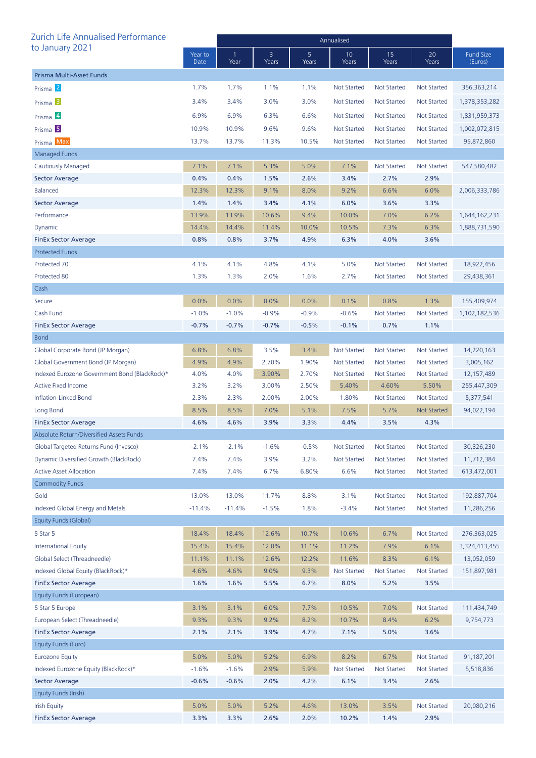| Zurich Life Annualised Performance            |                 | Annualised |            |            |                    |                    |                    |                             |  |
|-----------------------------------------------|-----------------|------------|------------|------------|--------------------|--------------------|--------------------|-----------------------------|--|
| to January 2021                               | Year to<br>Date | Year       | 3<br>Years | 5<br>Years | 10<br>Years        | 15<br>Years        | 20<br>Years        | <b>Fund Size</b><br>(Euros) |  |
| Prisma Multi-Asset Funds                      |                 |            |            |            |                    |                    |                    |                             |  |
| Prisma <sup>2</sup>                           | 1.7%            | 1.7%       | 1.1%       | 1.1%       | <b>Not Started</b> | <b>Not Started</b> | <b>Not Started</b> | 356, 363, 214               |  |
| Prisma <sup>3</sup>                           | 3.4%            | 3.4%       | 3.0%       | 3.0%       | <b>Not Started</b> | <b>Not Started</b> | Not Started        | 1,378,353,282               |  |
| Prisma 4                                      | 6.9%            | 6.9%       | 6.3%       | 6.6%       | <b>Not Started</b> | <b>Not Started</b> | <b>Not Started</b> | 1,831,959,373               |  |
| Prisma <sup>5</sup>                           | 10.9%           | 10.9%      | 9.6%       | 9.6%       | Not Started        | <b>Not Started</b> | <b>Not Started</b> | 1,002,072,815               |  |
| Prisma Max                                    | 13.7%           | 13.7%      | 11.3%      | 10.5%      | <b>Not Started</b> | Not Started        | Not Started        | 95,872,860                  |  |
| <b>Managed Funds</b>                          |                 |            |            |            |                    |                    |                    |                             |  |
| Cautiously Managed                            | 7.1%            | 7.1%       | 5.3%       | 5.0%       | 7.1%               | <b>Not Started</b> | <b>Not Started</b> | 547,580,482                 |  |
| <b>Sector Average</b>                         | 0.4%            | 0.4%       | 1.5%       | 2.6%       | 3.4%               | 2.7%               | 2.9%               |                             |  |
| <b>Balanced</b>                               | 12.3%           | 12.3%      | 9.1%       | 8.0%       | 9.2%               | 6.6%               | 6.0%               | 2,006,333,786               |  |
| <b>Sector Average</b>                         | 1.4%            | 1.4%       | 3.4%       | 4.1%       | 6.0%               | 3.6%               | 3.3%               |                             |  |
| Performance                                   | 13.9%           | 13.9%      | 10.6%      | 9.4%       | 10.0%              | 7.0%               | 6.2%               | 1,644,162,231               |  |
| Dynamic                                       | 14.4%           | 14.4%      | 11.4%      | 10.0%      | 10.5%              | 7.3%               | 6.3%               | 1,888,731,590               |  |
| <b>FinEx Sector Average</b>                   | 0.8%            | 0.8%       | 3.7%       | 4.9%       | 6.3%               | 4.0%               | 3.6%               |                             |  |
| <b>Protected Funds</b>                        |                 |            |            |            |                    |                    |                    |                             |  |
| Protected 70                                  | 4.1%            | 4.1%       | 4.8%       | 4.1%       | 5.0%               | <b>Not Started</b> | <b>Not Started</b> | 18,922,456                  |  |
| Protected 80                                  | 1.3%            | 1.3%       | 2.0%       | 1.6%       | 2.7%               | <b>Not Started</b> | <b>Not Started</b> | 29,438,361                  |  |
| Cash                                          |                 |            |            |            |                    |                    |                    |                             |  |
| Secure                                        | 0.0%            | 0.0%       | 0.0%       | 0.0%       | 0.1%               | 0.8%               | 1.3%               | 155,409,974                 |  |
| Cash Fund                                     | $-1.0%$         | $-1.0%$    | $-0.9%$    | $-0.9%$    | $-0.6%$            | <b>Not Started</b> | <b>Not Started</b> | 1,102,182,536               |  |
| <b>FinEx Sector Average</b>                   | $-0.7%$         | $-0.7%$    | $-0.7%$    | $-0.5%$    | $-0.1%$            | 0.7%               | 1.1%               |                             |  |
| <b>Bond</b>                                   |                 |            |            |            |                    |                    |                    |                             |  |
| Global Corporate Bond (JP Morgan)             | 6.8%            | 6.8%       | 3.5%       | 3.4%       | <b>Not Started</b> | <b>Not Started</b> | <b>Not Started</b> | 14,220,163                  |  |
| Global Government Bond (JP Morgan)            | 4.9%            | 4.9%       | 2.70%      | 1.90%      | <b>Not Started</b> | <b>Not Started</b> | Not Started        | 3,005,162                   |  |
| Indexed Eurozone Government Bond (BlackRock)* | 4.0%            | 4.0%       | 3.90%      | 2.70%      | <b>Not Started</b> | <b>Not Started</b> | Not Started        | 12,157,489                  |  |
| <b>Active Fixed Income</b>                    | 3.2%            | 3.2%       | 3.00%      | 2.50%      | 5.40%              | 4.60%              | 5.50%              | 255,447,309                 |  |
| Inflation-Linked Bond                         | 2.3%            | 2.3%       | 2.00%      | 2.00%      | 1.80%              | <b>Not Started</b> | <b>Not Started</b> | 5,377,541                   |  |
| Long Bond                                     | 8.5%            | 8.5%       | 7.0%       | 5.1%       | 7.5%               | 5.7%               | <b>Not Started</b> | 94,022,194                  |  |
| <b>FinEx Sector Average</b>                   | 4.6%            | 4.6%       | 3.9%       | 3.3%       | 4.4%               | 3.5%               | 4.3%               |                             |  |
| Absolute Return/Diversified Assets Funds      |                 |            |            |            |                    |                    |                    |                             |  |
| Global Targeted Returns Fund (Invesco)        | $-2.1%$         | $-2.1%$    | $-1.6%$    | $-0.5%$    | <b>Not Started</b> | <b>Not Started</b> | <b>Not Started</b> | 30,326,230                  |  |
| Dynamic Diversified Growth (BlackRock)        | 7.4%            | 7.4%       | 3.9%       | 3.2%       | <b>Not Started</b> | <b>Not Started</b> | <b>Not Started</b> | 11,712,384                  |  |
| <b>Active Asset Allocation</b>                | 7.4%            | 7.4%       | 6.7%       | 6.80%      | 6.6%               | <b>Not Started</b> | <b>Not Started</b> | 613,472,001                 |  |
| <b>Commodity Funds</b>                        |                 |            |            |            |                    |                    |                    |                             |  |
| Gold                                          | 13.0%           | 13.0%      | 11.7%      | 8.8%       | 3.1%               | Not Started        | <b>Not Started</b> | 192,887,704                 |  |
| Indexed Global Energy and Metals              | $-11.4%$        | $-11.4%$   | $-1.5%$    | 1.8%       | $-3.4%$            | <b>Not Started</b> | <b>Not Started</b> | 11,286,256                  |  |
| Equity Funds (Global)                         |                 |            |            |            |                    |                    |                    |                             |  |
| 5 Star 5                                      | 18.4%           | 18.4%      | 12.6%      | 10.7%      | 10.6%              | 6.7%               | <b>Not Started</b> | 276,363,025                 |  |
| <b>International Equity</b>                   | 15.4%           | 15.4%      | 12.0%      | 11.1%      | 11.2%              | 7.9%               | 6.1%               | 3,324,413,455               |  |
| Global Select (Threadneedle)                  | 11.1%           | 11.1%      | 12.6%      | 12.2%      | 11.6%              | 8.3%               | 6.1%               | 13,052,059                  |  |
| Indexed Global Equity (BlackRock)*            | 4.6%            | 4.6%       | 9.0%       | 9.3%       | <b>Not Started</b> | <b>Not Started</b> | <b>Not Started</b> | 151,897,981                 |  |
| <b>FinEx Sector Average</b>                   | 1.6%            | 1.6%       | 5.5%       | 6.7%       | 8.0%               | 5.2%               | 3.5%               |                             |  |
| Equity Funds (European)                       |                 |            |            |            |                    |                    |                    |                             |  |
| 5 Star 5 Europe                               | 3.1%            | 3.1%       | 6.0%       | 7.7%       | 10.5%              | 7.0%               | <b>Not Started</b> | 111,434,749                 |  |
| European Select (Threadneedle)                | 9.3%            | 9.3%       | 9.2%       | 8.2%       | 10.7%              | 8.4%               | 6.2%               | 9,754,773                   |  |
| <b>FinEx Sector Average</b>                   | 2.1%            | 2.1%       | 3.9%       | 4.7%       | 7.1%               | 5.0%               | 3.6%               |                             |  |
| Equity Funds (Euro)                           |                 |            |            |            |                    |                    |                    |                             |  |
| <b>Eurozone Equity</b>                        | 5.0%            | 5.0%       | 5.2%       | 6.9%       | 8.2%               | 6.7%               | <b>Not Started</b> | 91,187,201                  |  |
| Indexed Eurozone Equity (BlackRock)*          | $-1.6%$         | $-1.6%$    | 2.9%       | 5.9%       | <b>Not Started</b> | <b>Not Started</b> | <b>Not Started</b> | 5,518,836                   |  |
| <b>Sector Average</b>                         | $-0.6%$         | $-0.6%$    | 2.0%       | 4.2%       | 6.1%               | 3.4%               | 2.6%               |                             |  |
| Equity Funds (Irish)                          |                 |            |            |            |                    |                    |                    |                             |  |
| <b>Irish Equity</b>                           | 5.0%            | 5.0%       | 5.2%       | 4.6%       | 13.0%              | 3.5%               | <b>Not Started</b> | 20,080,216                  |  |
| <b>FinEx Sector Average</b>                   | 3.3%            | 3.3%       | 2.6%       | 2.0%       | 10.2%              | 1.4%               | 2.9%               |                             |  |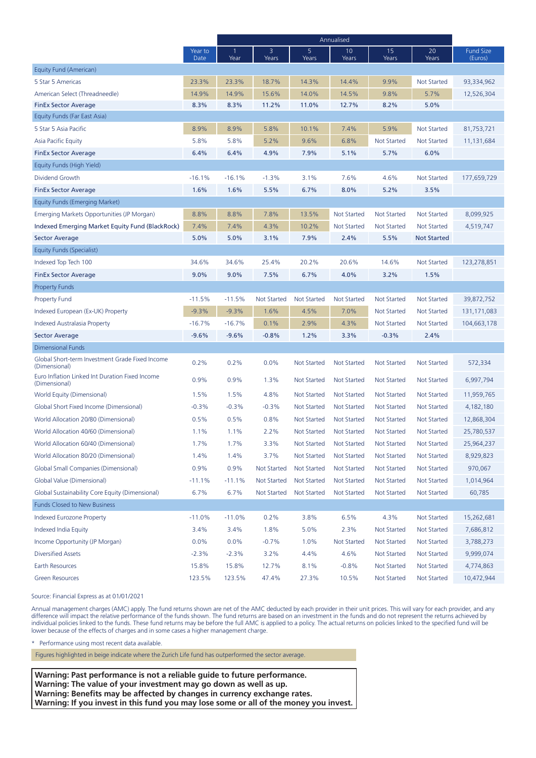|                                                                  |                 | Annualised |                    |                         |                    |                    |                    |                             |
|------------------------------------------------------------------|-----------------|------------|--------------------|-------------------------|--------------------|--------------------|--------------------|-----------------------------|
|                                                                  | Year to<br>Date | Year       | 3<br>Years         | 5 <sup>5</sup><br>Years | 10<br>Years        | 15<br>Years        | 20<br>Years        | <b>Fund Size</b><br>(Euros) |
| Equity Fund (American)                                           |                 |            |                    |                         |                    |                    |                    |                             |
| 5 Star 5 Americas                                                | 23.3%           | 23.3%      | 18.7%              | 14.3%                   | 14.4%              | 9.9%               | <b>Not Started</b> | 93,334,962                  |
| American Select (Threadneedle)                                   | 14.9%           | 14.9%      | 15.6%              | 14.0%                   | 14.5%              | 9.8%               | 5.7%               | 12,526,304                  |
| <b>FinEx Sector Average</b>                                      | 8.3%            | 8.3%       | 11.2%              | 11.0%                   | 12.7%              | 8.2%               | 5.0%               |                             |
| Equity Funds (Far East Asia)                                     |                 |            |                    |                         |                    |                    |                    |                             |
| 5 Star 5 Asia Pacific                                            | 8.9%            | 8.9%       | 5.8%               | 10.1%                   | 7.4%               | 5.9%               | <b>Not Started</b> | 81,753,721                  |
| Asia Pacific Equity                                              | 5.8%            | 5.8%       | 5.2%               | 9.6%                    | 6.8%               | <b>Not Started</b> | <b>Not Started</b> | 11,131,684                  |
| <b>FinEx Sector Average</b>                                      | 6.4%            | 6.4%       | 4.9%               | 7.9%                    | 5.1%               | 5.7%               | 6.0%               |                             |
| Equity Funds (High Yield)                                        |                 |            |                    |                         |                    |                    |                    |                             |
| Dividend Growth                                                  | $-16.1%$        | $-16.1%$   | $-1.3%$            | 3.1%                    | 7.6%               | 4.6%               | <b>Not Started</b> | 177,659,729                 |
| <b>FinEx Sector Average</b>                                      | 1.6%            | 1.6%       | 5.5%               | 6.7%                    | 8.0%               | 5.2%               | 3.5%               |                             |
| Equity Funds (Emerging Market)                                   |                 |            |                    |                         |                    |                    |                    |                             |
| Emerging Markets Opportunities (JP Morgan)                       | 8.8%            | 8.8%       | 7.8%               | 13.5%                   | <b>Not Started</b> | <b>Not Started</b> | <b>Not Started</b> | 8,099,925                   |
| Indexed Emerging Market Equity Fund (BlackRock)                  | 7.4%            | 7.4%       | 4.3%               | 10.2%                   | <b>Not Started</b> | <b>Not Started</b> | <b>Not Started</b> | 4,519,747                   |
| <b>Sector Average</b>                                            | 5.0%            | 5.0%       | 3.1%               | 7.9%                    | 2.4%               | 5.5%               | <b>Not Started</b> |                             |
| Equity Funds (Specialist)                                        |                 |            |                    |                         |                    |                    |                    |                             |
| Indexed Top Tech 100                                             | 34.6%           | 34.6%      | 25.4%              | 20.2%                   | 20.6%              | 14.6%              | <b>Not Started</b> | 123,278,851                 |
| <b>FinEx Sector Average</b>                                      | 9.0%            | 9.0%       | 7.5%               | 6.7%                    | 4.0%               | 3.2%               | 1.5%               |                             |
| <b>Property Funds</b>                                            |                 |            |                    |                         |                    |                    |                    |                             |
| <b>Property Fund</b>                                             | $-11.5%$        | $-11.5%$   | <b>Not Started</b> | <b>Not Started</b>      | <b>Not Started</b> | <b>Not Started</b> | Not Started        | 39,872,752                  |
| Indexed European (Ex-UK) Property                                | $-9.3%$         | $-9.3%$    | 1.6%               | 4.5%                    | 7.0%               | <b>Not Started</b> | <b>Not Started</b> | 131,171,083                 |
| Indexed Australasia Property                                     | $-16.7%$        | $-16.7%$   | 0.1%               | 2.9%                    | 4.3%               | <b>Not Started</b> | <b>Not Started</b> | 104,663,178                 |
| <b>Sector Average</b>                                            | $-9.6%$         | $-9.6%$    | $-0.8%$            | 1.2%                    | 3.3%               | $-0.3%$            | 2.4%               |                             |
| <b>Dimensional Funds</b>                                         |                 |            |                    |                         |                    |                    |                    |                             |
| Global Short-term Investment Grade Fixed Income<br>(Dimensional) | 0.2%            | 0.2%       | 0.0%               | <b>Not Started</b>      | <b>Not Started</b> | <b>Not Started</b> | <b>Not Started</b> | 572,334                     |
| Euro Inflation Linked Int Duration Fixed Income<br>(Dimensional) | 0.9%            | 0.9%       | 1.3%               | <b>Not Started</b>      | <b>Not Started</b> | <b>Not Started</b> | <b>Not Started</b> | 6,997,794                   |
| World Equity (Dimensional)                                       | 1.5%            | 1.5%       | 4.8%               | <b>Not Started</b>      | <b>Not Started</b> | <b>Not Started</b> | <b>Not Started</b> | 11,959,765                  |
| Global Short Fixed Income (Dimensional)                          | $-0.3%$         | $-0.3%$    | $-0.3%$            | <b>Not Started</b>      | <b>Not Started</b> | <b>Not Started</b> | Not Started        | 4,182,180                   |
| World Allocation 20/80 (Dimensional)                             | 0.5%            | 0.5%       | 0.8%               | <b>Not Started</b>      | <b>Not Started</b> | Not Started        | Not Started        | 12,868,304                  |
| World Allocation 40/60 (Dimensional)                             | 1.1%            | 1.1%       | 2.2%               | <b>Not Started</b>      | <b>Not Started</b> | Not Started        | <b>Not Started</b> | 25,780,537                  |
| World Allocation 60/40 (Dimensional)                             | 1.7%            | 1.7%       | 3.3%               | <b>Not Started</b>      | <b>Not Started</b> | <b>Not Started</b> | <b>Not Started</b> | 25,964,237                  |
| World Allocation 80/20 (Dimensional)                             | 1.4%            | 1.4%       | 3.7%               | Not Started             | <b>Not Started</b> | <b>Not Started</b> | <b>Not Started</b> | 8,929,823                   |
| Global Small Companies (Dimensional)                             | 0.9%            | 0.9%       | <b>Not Started</b> | <b>Not Started</b>      | <b>Not Started</b> | Not Started        | <b>Not Started</b> | 970,067                     |
| Global Value (Dimensional)                                       | $-11.1%$        | $-11.1%$   | <b>Not Started</b> | <b>Not Started</b>      | <b>Not Started</b> | <b>Not Started</b> | <b>Not Started</b> | 1,014,964                   |
| Global Sustainability Core Equity (Dimensional)                  | 6.7%            | 6.7%       | <b>Not Started</b> | <b>Not Started</b>      | <b>Not Started</b> | <b>Not Started</b> | <b>Not Started</b> | 60,785                      |
| Funds Closed to New Business                                     |                 |            |                    |                         |                    |                    |                    |                             |
| Indexed Eurozone Property                                        | $-11.0%$        | $-11.0%$   | 0.2%               | 3.8%                    | 6.5%               | 4.3%               | Not Started        | 15,262,681                  |
| Indexed India Equity                                             | 3.4%            | 3.4%       | 1.8%               | 5.0%                    | 2.3%               | <b>Not Started</b> | <b>Not Started</b> | 7,686,812                   |
| Income Opportunity (JP Morgan)                                   | 0.0%            | 0.0%       | $-0.7%$            | 1.0%                    | <b>Not Started</b> | <b>Not Started</b> | <b>Not Started</b> | 3,788,273                   |
| <b>Diversified Assets</b>                                        | $-2.3%$         | $-2.3%$    | 3.2%               | 4.4%                    | 4.6%               | Not Started        | Not Started        | 9,999,074                   |
| <b>Earth Resources</b>                                           | 15.8%           | 15.8%      | 12.7%              | 8.1%                    | $-0.8%$            | <b>Not Started</b> | Not Started        | 4,774,863                   |
| <b>Green Resources</b>                                           | 123.5%          | 123.5%     | 47.4%              | 27.3%                   | 10.5%              | Not Started        | Not Started        | 10,472,944                  |

Source: Financial Express as at 01/01/2021

Annual management charges (AMC) apply. The fund returns shown are net of the AMC deducted by each provider in their unit prices. This will vary for each provider, and any difference will impact the relative performance of the funds shown. The fund returns are based on an investment in the funds and do not represent the returns achieved by individual policies linked to the funds. These fund returns may be before the full AMC is applied to a policy. The actual returns on policies linked to the specified fund will be lower because of the effects of charges and in some cases a higher management charge.

\* Performance using most recent data available.

Figures highlighted in beige indicate where the Zurich Life fund has outperformed the sector average.

**Warning: Past performance is not a reliable guide to future performance. Warning: The value of your investment may go down as well as up. Warning: Benefits may be affected by changes in currency exchange rates. Warning: If you invest in this fund you may lose some or all of the money you invest.**